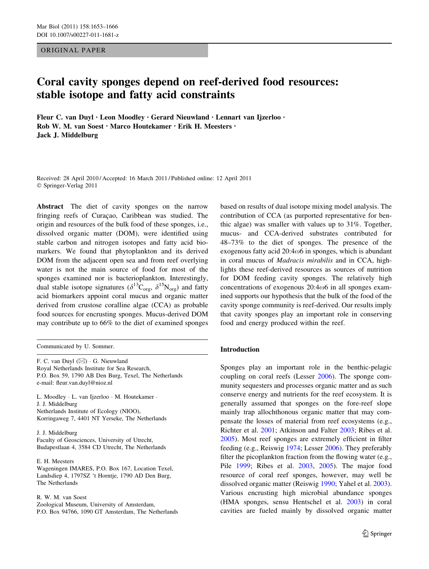ORIGINAL PAPER

# Coral cavity sponges depend on reef-derived food resources: stable isotope and fatty acid constraints

Fleur C. van Duyl • Leon Moodley • Gerard Nieuwland • Lennart van Ijzerloo • Rob W. M. van Soest • Marco Houtekamer • Erik H. Meesters • Jack J. Middelburg

Received: 28 April 2010 / Accepted: 16 March 2011 / Published online: 12 April 2011 © Springer-Verlag 2011

Abstract The diet of cavity sponges on the narrow fringing reefs of Curaçao, Caribbean was studied. The origin and resources of the bulk food of these sponges, i.e., dissolved organic matter (DOM), were identified using stable carbon and nitrogen isotopes and fatty acid biomarkers. We found that phytoplankton and its derived DOM from the adjacent open sea and from reef overlying water is not the main source of food for most of the sponges examined nor is bacterioplankton. Interestingly, dual stable isotope signatures ( $\delta^{13}C_{org}$ ,  $\delta^{15}N_{org}$ ) and fatty acid biomarkers appoint coral mucus and organic matter derived from crustose coralline algae (CCA) as probable food sources for encrusting sponges. Mucus-derived DOM may contribute up to 66% to the diet of examined sponges

Communicated by U. Sommer.

F. C. van Duyl (⊠) · G. Nieuwland Royal Netherlands Institute for Sea Research, P.O. Box 59, 1790 AB Den Burg, Texel, The Netherlands e-mail: fleur.van.duyl@nioz.nl

L. Moodley · L. van Ijzerloo · M. Houtekamer · J. J. Middelburg Netherlands Institute of Ecology (NIOO), Korringaweg 7, 4401 NT Yerseke, The Netherlands

J. J. Middelburg Faculty of Geosciences, University of Utrecht, Budapestlaan 4, 3584 CD Utrecht, The Netherlands

E. H. Meesters

Wageningen IMARES, P.O. Box 167, Location Texel, Landsdiep 4, 1797SZ 't Horntje, 1790 AD Den Burg, The Netherlands

R. W. M. van Soest Zoological Museum, University of Amsterdam, P.O. Box 94766, 1090 GT Amsterdam, The Netherlands based on results of dual isotope mixing model analysis. The contribution of CCA (as purported representative for benthic algae) was smaller with values up to 31%. Together, mucus- and CCA-derived substrates contributed for 48–73% to the diet of sponges. The presence of the exogenous fatty acid  $20:4\omega$ 6 in sponges, which is abundant in coral mucus of Madracis mirabilis and in CCA, highlights these reef-derived resources as sources of nutrition for DOM feeding cavity sponges. The relatively high concentrations of exogenous  $20:4\omega$ 6 in all sponges examined supports our hypothesis that the bulk of the food of the cavity sponge community is reef-derived. Our results imply that cavity sponges play an important role in conserving food and energy produced within the reef.

# Introduction

Sponges play an important role in the benthic-pelagic coupling on coral reefs (Lesser [2006](#page-12-0)). The sponge community sequesters and processes organic matter and as such conserve energy and nutrients for the reef ecosystem. It is generally assumed that sponges on the fore-reef slope mainly trap allochthonous organic matter that may compensate the losses of material from reef ecosystems (e.g., Richter et al. [2001](#page-12-0); Atkinson and Falter [2003](#page-11-0); Ribes et al. [2005](#page-12-0)). Most reef sponges are extremely efficient in filter feeding (e.g., Reiswig [1974](#page-12-0); Lesser [2006](#page-12-0)). They preferably filter the picoplankton fraction from the flowing water (e.g., Pile [1999;](#page-12-0) Ribes et al. [2003](#page-12-0), [2005](#page-12-0)). The major food resource of coral reef sponges, however, may well be dissolved organic matter (Reiswig [1990](#page-12-0); Yahel et al. [2003](#page-13-0)). Various encrusting high microbial abundance sponges (HMA sponges, sensu Hentschel et al. [2003](#page-11-0)) in coral cavities are fueled mainly by dissolved organic matter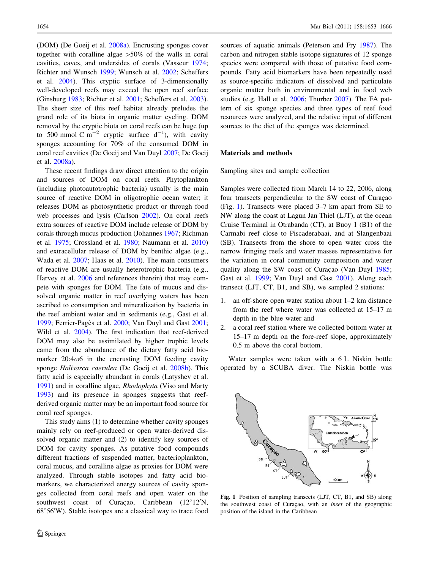(DOM) (De Goeij et al. [2008a\)](#page-11-0). Encrusting sponges cover together with coralline algae  $>50\%$  of the walls in coral cavities, caves, and undersides of corals (Vasseur [1974](#page-12-0); Richter and Wunsch [1999](#page-12-0); Wunsch et al. [2002](#page-13-0); Scheffers et al. [2004\)](#page-12-0). This cryptic surface of 3-dimensionally well-developed reefs may exceed the open reef surface (Ginsburg [1983](#page-11-0); Richter et al. [2001;](#page-12-0) Scheffers et al. [2003](#page-12-0)). The sheer size of this reef habitat already preludes the grand role of its biota in organic matter cycling. DOM removal by the cryptic biota on coral reefs can be huge (up to 500 mmol C m<sup>-2</sup> cryptic surface  $d^{-1}$ ), with cavity sponges accounting for 70% of the consumed DOM in coral reef cavities (De Goeij and Van Duyl [2007](#page-11-0); De Goeij et al. [2008a](#page-11-0)).

These recent findings draw direct attention to the origin and sources of DOM on coral reefs. Phytoplankton (including photoautotrophic bacteria) usually is the main source of reactive DOM in oligotrophic ocean water; it releases DOM as photosynthetic product or through food web processes and lysis (Carlson [2002](#page-11-0)). On coral reefs extra sources of reactive DOM include release of DOM by corals through mucus production (Johannes [1967;](#page-11-0) Richman et al. [1975;](#page-12-0) Crossland et al. [1980](#page-11-0); Naumann et al. [2010\)](#page-12-0) and extracellular release of DOM by benthic algae (e.g., Wada et al. [2007;](#page-12-0) Haas et al. [2010\)](#page-11-0). The main consumers of reactive DOM are usually heterotrophic bacteria (e.g., Harvey et al. [2006](#page-11-0) and references therein) that may compete with sponges for DOM. The fate of mucus and dissolved organic matter in reef overlying waters has been ascribed to consumption and mineralization by bacteria in the reef ambient water and in sediments (e.g., Gast et al. [1999;](#page-11-0) Ferrier-Pagès et al. [2000;](#page-11-0) Van Duyl and Gast [2001](#page-12-0); Wild et al. [2004](#page-12-0)). The first indication that reef-derived DOM may also be assimilated by higher trophic levels came from the abundance of the dietary fatty acid biomarker  $20:4\omega$ 6 in the encrusting DOM feeding cavity sponge Halisarca caerulea (De Goeij et al. [2008b\)](#page-11-0). This fatty acid is especially abundant in corals (Latyshev et al. [1991\)](#page-12-0) and in coralline algae, Rhodophyta (Viso and Marty [1993\)](#page-12-0) and its presence in sponges suggests that reefderived organic matter may be an important food source for coral reef sponges.

This study aims (1) to determine whether cavity sponges mainly rely on reef-produced or open water-derived dissolved organic matter and (2) to identify key sources of DOM for cavity sponges. As putative food compounds different fractions of suspended matter, bacterioplankton, coral mucus, and coralline algae as proxies for DOM were analyzed. Through stable isotopes and fatty acid biomarkers, we characterized energy sources of cavity sponges collected from coral reefs and open water on the southwest coast of Curaçao, Caribbean  $(12^{\circ}12^{\prime}N,$ 68°56'W). Stable isotopes are a classical way to trace food

sources of aquatic animals (Peterson and Fry [1987\)](#page-12-0). The carbon and nitrogen stable isotope signatures of 12 sponge species were compared with those of putative food compounds. Fatty acid biomarkers have been repeatedly used as source-specific indicators of dissolved and particulate organic matter both in environmental and in food web studies (e.g. Hall et al. [2006;](#page-11-0) Thurber [2007](#page-12-0)). The FA pattern of six sponge species and three types of reef food resources were analyzed, and the relative input of different sources to the diet of the sponges was determined.

# Materials and methods

Sampling sites and sample collection

Samples were collected from March 14 to 22, 2006, along four transects perpendicular to the SW coast of Curação (Fig. 1). Transects were placed 3–7 km apart from SE to NW along the coast at Lagun Jan Thiel (LJT), at the ocean Cruise Terminal in Otrabanda (CT), at Buoy 1 (B1) of the Carmabi reef close to Piscaderabaai, and at Slangenbaai (SB). Transects from the shore to open water cross the narrow fringing reefs and water masses representative for the variation in coral community composition and water quality along the SW coast of Curação (Van Duyl [1985](#page-12-0); Gast et al. [1999;](#page-11-0) Van Duyl and Gast [2001\)](#page-12-0). Along each transect (LJT, CT, B1, and SB), we sampled 2 stations:

- 1. an off-shore open water station about 1–2 km distance from the reef where water was collected at 15–17 m depth in the blue water and
- 2. a coral reef station where we collected bottom water at 15–17 m depth on the fore-reef slope, approximately 0.5 m above the coral bottom.

Water samples were taken with a 6 L Niskin bottle operated by a SCUBA diver. The Niskin bottle was



Fig. 1 Position of sampling transects (LJT, CT, B1, and SB) along the southwest coast of Curaçao, with an *inset* of the geographic position of the island in the Caribbean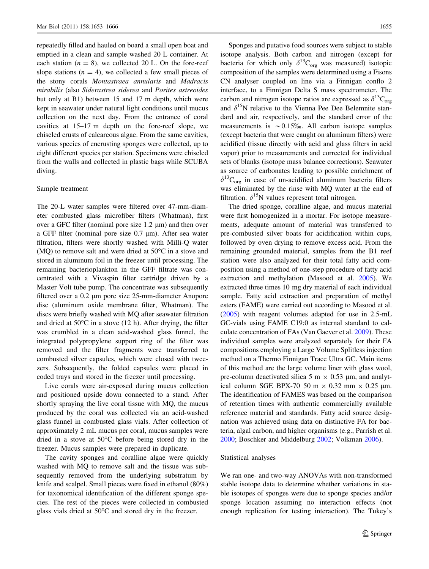repeatedly filled and hauled on board a small open boat and emptied in a clean and sample washed 20 L container. At each station ( $n = 8$ ), we collected 20 L. On the fore-reef slope stations  $(n = 4)$ , we collected a few small pieces of the stony corals Montastraea annularis and Madracis mirabilis (also Siderastrea siderea and Porites astreoides but only at B1) between 15 and 17 m depth, which were kept in seawater under natural light conditions until mucus collection on the next day. From the entrance of coral cavities at 15–17 m depth on the fore-reef slope, we chiseled crusts of calcareous algae. From the same cavities, various species of encrusting sponges were collected, up to eight different species per station. Specimens were chiseled from the walls and collected in plastic bags while SCUBA diving.

#### Sample treatment

The 20-L water samples were filtered over 47-mm-diameter combusted glass microfiber filters (Whatman), first over a GFC filter (nominal pore size  $1.2 \mu m$ ) and then over a GFF filter (nominal pore size  $0.7 \mu m$ ). After sea water filtration, filters were shortly washed with Milli-Q water (MQ) to remove salt and were dried at  $50^{\circ}$ C in a stove and stored in aluminum foil in the freezer until processing. The remaining bacterioplankton in the GFF filtrate was concentrated with a Vivaspin filter cartridge driven by a Master Volt tube pump. The concentrate was subsequently filtered over a  $0.2 \mu m$  pore size 25-mm-diameter Anopore disc (aluminum oxide membrane filter, Whatman). The discs were briefly washed with MQ after seawater filtration and dried at  $50^{\circ}$ C in a stove (12 h). After drying, the filter was crumbled in a clean acid-washed glass funnel, the integrated polypropylene support ring of the filter was removed and the filter fragments were transferred to combusted silver capsules, which were closed with tweezers. Subsequently, the folded capsules were placed in coded trays and stored in the freezer until processing.

Live corals were air-exposed during mucus collection and positioned upside down connected to a stand. After shortly spraying the live coral tissue with MQ, the mucus produced by the coral was collected via an acid-washed glass funnel in combusted glass vials. After collection of approximately 2 mL mucus per coral, mucus samples were dried in a stove at  $50^{\circ}$ C before being stored dry in the freezer. Mucus samples were prepared in duplicate.

The cavity sponges and coralline algae were quickly washed with MQ to remove salt and the tissue was subsequently removed from the underlying substratum by knife and scalpel. Small pieces were fixed in ethanol (80%) for taxonomical identification of the different sponge species. The rest of the pieces were collected in combusted glass vials dried at  $50^{\circ}$ C and stored dry in the freezer.

Sponges and putative food sources were subject to stable isotope analysis. Both carbon and nitrogen (except for bacteria for which only  $\delta^{13}C_{org}$  was measured) isotopic composition of the samples were determined using a Fisons CN analyser coupled on line via a Finnigan conflo 2 interface, to a Finnigan Delta S mass spectrometer. The carbon and nitrogen isotope ratios are expressed as  $\delta^{13}C_{\text{org}}$ and  $\delta^{15}N$  relative to the Vienna Pee Dee Belemnite standard and air, respectively, and the standard error of the measurements is  $\sim 0.15\%$ . All carbon isotope samples (except bacteria that were caught on aluminum filters) were acidified (tissue directly with acid and glass filters in acid vapor) prior to measurements and corrected for individual sets of blanks (isotope mass balance corrections). Seawater as source of carbonates leading to possible enrichment of  $\delta^{13}$ C<sub>org</sub> in case of un-acidified aluminum bacteria filters was eliminated by the rinse with MQ water at the end of filtration.  $\delta^{15}N$  values represent total nitrogen.

The dried sponge, coralline algae, and mucus material were first homogenized in a mortar. For isotope measurements, adequate amount of material was transferred to pre-combusted silver boats for acidification within cups, followed by oven drying to remove excess acid. From the remaining grounded material, samples from the B1 reef station were also analyzed for their total fatty acid composition using a method of one-step procedure of fatty acid extraction and methylation (Masood et al. [2005](#page-12-0)). We extracted three times 10 mg dry material of each individual sample. Fatty acid extraction and preparation of methyl esters (FAME) were carried out according to Masood et al. [\(2005](#page-12-0)) with reagent volumes adapted for use in 2.5-mL GC-vials using FAME C19:0 as internal standard to calculate concentration of FAs (Van Gaever et al. [2009](#page-12-0)). These individual samples were analyzed separately for their FA compositions employing a Large Volume Splitless injection method on a Thermo Finnigan Trace Ultra GC. Main items of this method are the large volume liner with glass wool, pre-column deactivated silica 5 m  $\times$  0.53 µm, and analytical column SGE BPX-70 50 m  $\times$  0.32 mm  $\times$  0.25 µm. The identification of FAMES was based on the comparison of retention times with authentic commercially available reference material and standards. Fatty acid source designation was achieved using data on distinctive FA for bacteria, algal carbon, and higher organisms (e.g., Parrish et al. [2000](#page-12-0); Boschker and Middelburg [2002](#page-11-0); Volkman [2006](#page-12-0)).

#### Statistical analyses

We ran one- and two-way ANOVAs with non-transformed stable isotope data to determine whether variations in stable isotopes of sponges were due to sponge species and/or sponge location assuming no interaction effects (not enough replication for testing interaction). The Tukey's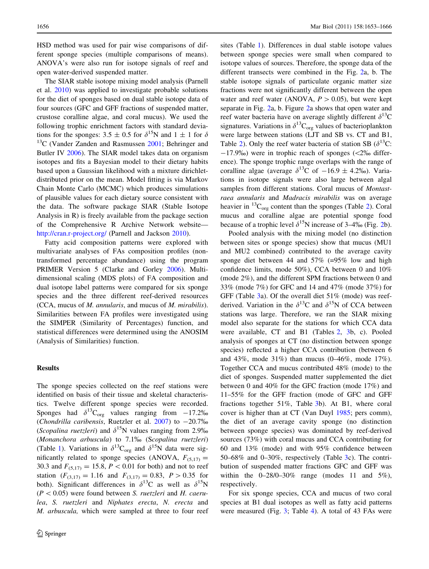HSD method was used for pair wise comparisons of different sponge species (multiple comparisons of means). ANOVA's were also run for isotope signals of reef and open water-derived suspended matter.

The SIAR stable isotope mixing model analysis (Parnell et al. [2010\)](#page-12-0) was applied to investigate probable solutions for the diet of sponges based on dual stable isotope data of four sources (GFC and GFF fractions of suspended matter, crustose coralline algae, and coral mucus). We used the following trophic enrichment factors with standard deviations for the sponges: 3.5  $\pm$  0.5 for  $\delta^{15}N$  and 1  $\pm$  1 for  $\delta$  $13<sup>C</sup>$  (Vander Zanden and Rasmussen [2001;](#page-12-0) Behringer and Butler IV [2006\)](#page-11-0). The SIAR model takes data on organism isotopes and fits a Bayesian model to their dietary habits based upon a Gaussian likelihood with a mixture dirichletdistributed prior on the mean. Model fitting is via Markov Chain Monte Carlo (MCMC) which produces simulations of plausible values for each dietary source consistent with the data. The software package SIAR (Stable Isotope Analysis in R) is freely available from the package section of the Comprehensive R Archive Network website <http://cran.r-project.org/> (Parnell and Jackson [2010\)](#page-12-0).

Fatty acid composition patterns were explored with multivariate analyses of FAs composition profiles (nontransformed percentage abundance) using the program PRIMER Version 5 (Clarke and Gorley [2006\)](#page-11-0). Multidimensional scaling (MDS plots) of FA composition and dual isotope label patterns were compared for six sponge species and the three different reef-derived resources (CCA, mucus of M. annularis, and mucus of M. mirabilis). Similarities between FA profiles were investigated using the SIMPER (Similarity of Percentages) function, and statistical differences were determined using the ANOSIM (Analysis of Similarities) function.

# **Results**

The sponge species collected on the reef stations were identified on basis of their tissue and skeletal characteristics. Twelve different sponge species were recorded. Sponges had  $\delta^{13}C_{org}$  values ranging from -17.2% (Chondrilla caribensis, Ruetzler et al.  $2007$ ) to  $-20.7\%$ (Scopalina ruetzleri) and  $\delta^{15}N$  values ranging from 2.9% (Monanchora arbuscula) to 7.1% (Scopalina ruetzleri) (Table [1](#page-4-0)). Variations in  $\delta^{13}C_{\text{org}}$  and  $\delta^{15}N$  data were significantly related to sponge species (ANOVA,  $F_{(5,17)} =$ 30.3 and  $F_{(5,17)} = 15.8, P < 0.01$  for both) and not to reef station  $(F_{(3,17)} = 1.16$  and  $F_{(3,17)} = 0.83$ ,  $P > 0.35$  for both). Significant differences in  $\delta^{13}C$  as well as  $\delta^{15}N$  $(P < 0.05)$  were found between *S. ruetzleri* and *H. caeru*lea, S. ruetzleri and Niphates erecta, N. erecta and M. arbuscula, which were sampled at three to four reef sites (Table [1\)](#page-4-0). Differences in dual stable isotope values between sponge species were small when compared to isotope values of sources. Therefore, the sponge data of the different transects were combined in the Fig. [2](#page-5-0)a, b. The stable isotope signals of particulate organic matter size fractions were not significantly different between the open water and reef water (ANOVA,  $P > 0.05$ ), but were kept separate in Fig. [2](#page-5-0)a, b. Figure [2](#page-5-0)a shows that open water and reef water bacteria have on average slightly different  $\delta^{13}C$ signatures. Variations in  $\delta^{13}C_{\text{org}}$  values of bacterioplankton were large between stations (LJT and SB vs. CT and B1, Table [2](#page-6-0)). Only the reef water bacteria of station SB  $(\delta^{13}C)$ :  $-17.9\%$ ) were in trophic reach of sponges ( $\langle 2\%$  difference). The sponge trophic range overlaps with the range of coralline algae (average  $\delta^{13}$ C of  $-16.9 \pm 4.2\%$ ). Variations in isotope signals were also large between algal samples from different stations. Coral mucus of Montastraea annularis and Madracis mirabilis was on average heavier in  ${}^{13}C_{\text{ore}}$  content than the sponges (Table [2](#page-6-0)). Coral mucus and coralline algae are potential sponge food because of a trophic level  $\delta^{15}$ N increase of 3–4% (Fig. [2](#page-5-0)b).

Pooled analysis with the mixing model (no distinction between sites or sponge species) show that mucus (MU1 and MU2 combined) contributed to the average cavity sponge diet between 44 and 57% (=95% low and high confidence limits, mode 50%), CCA between 0 and 10% (mode 2%), and the different SPM fractions between 0 and 33% (mode 7%) for GFC and 14 and 47% (mode 37%) for GFF (Table [3a](#page-7-0)). Of the overall diet 51% (mode) was reefderived. Variation in the  $\delta^{13}$ C and  $\delta^{15}$ N of CCA between stations was large. Therefore, we ran the SIAR mixing model also separate for the stations for which CCA data were available, CT and B1 (Tables [2,](#page-6-0) [3](#page-7-0)b, c). Pooled analysis of sponges at CT (no distinction between sponge species) reflected a higher CCA contribution (between 6 and 43%, mode 31%) than mucus (0–46%, mode 17%). Together CCA and mucus contributed 48% (mode) to the diet of sponges. Suspended matter supplemented the diet between 0 and 40% for the GFC fraction (mode 17%) and 11–55% for the GFF fraction (mode of GFC and GFF fractions together 51%, Table [3b](#page-7-0)). At B1, where coral cover is higher than at CT (Van Duyl [1985;](#page-12-0) pers comm), the diet of an average cavity sponge (no distinction between sponge species) was dominated by reef-derived sources (73%) with coral mucus and CCA contributing for 60 and 13% (mode) and with 95% confidence between 50–68% and 0–30%, respectively (Table [3c](#page-7-0)). The contribution of suspended matter fractions GFC and GFF was within the  $0-28/0-30\%$  range (modes 11 and 5%), respectively.

For six sponge species, CCA and mucus of two coral species at B1 dual isotopes as well as fatty acid patterns were measured (Fig. [3;](#page-7-0) Table [4\)](#page-8-0). A total of 43 FAs were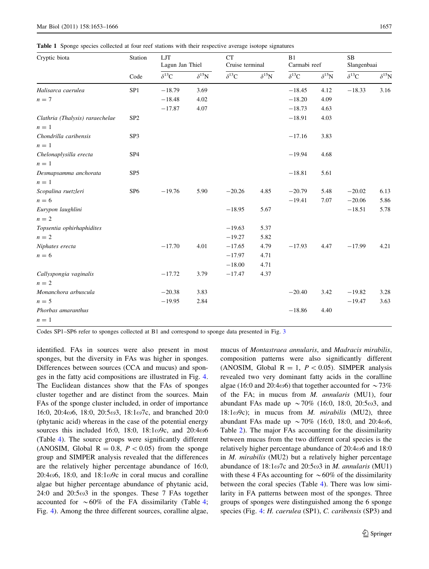2 Springer

<span id="page-4-0"></span>Table 1 Sponge species collected at four reef stations with their respective average isotope signatures

| Cryptic biota                   | Station<br>Code | LJT<br>Lagun Jan Thiel |                | <b>CT</b><br>Cruise terminal |                | B1<br>Carmabi reef |                | SB<br>Slangenbaai |                |
|---------------------------------|-----------------|------------------------|----------------|------------------------------|----------------|--------------------|----------------|-------------------|----------------|
|                                 |                 | $\delta^{13}C$         | $\delta^{15}N$ | $\delta^{13}C$               | $\delta^{15}N$ | $\delta^{13}C$     | $\delta^{15}N$ | $\delta^{13}C$    | $\delta^{15}N$ |
| Halisarca caerulea              | SP <sub>1</sub> | $-18.79$               | 3.69           |                              |                | $-18.45$           | 4.12           | $-18.33$          | 3.16           |
| $n=7$                           |                 | $-18.48$               | 4.02           |                              |                | $-18.20$           | 4.09           |                   |                |
|                                 |                 | $-17.87$               | 4.07           |                              |                | $-18.73$           | 4.63           |                   |                |
| Clathria (Thalysis) raraechelae | SP <sub>2</sub> |                        |                |                              |                | $-18.91$           | 4.03           |                   |                |
| $n=1$                           |                 |                        |                |                              |                |                    |                |                   |                |
| Chondrilla caribensis           | SP <sub>3</sub> |                        |                |                              |                | $-17.16$           | 3.83           |                   |                |
| $n=1$                           |                 |                        |                |                              |                |                    |                |                   |                |
| Chelonaplysilla erecta          | SP <sub>4</sub> |                        |                |                              |                | $-19.94$           | 4.68           |                   |                |
| $n=1$                           |                 |                        |                |                              |                |                    |                |                   |                |
| Desmapsamma anchorata           | SP <sub>5</sub> |                        |                |                              |                | $-18.81$           | 5.61           |                   |                |
| $n=1$                           |                 |                        |                |                              |                |                    |                |                   |                |
| Scopalina ruetzleri             | SP <sub>6</sub> | $-19.76$               | 5.90           | $-20.26$                     | 4.85           | $-20.79$           | 5.48           | $-20.02$          | 6.13           |
| $n = 6$                         |                 |                        |                |                              |                | $-19.41$           | 7.07           | $-20.06$          | 5.86           |
| Eurypon laughlini               |                 |                        |                | $-18.95$                     | 5.67           |                    |                | $-18.51$          | 5.78           |
| $n = 2$                         |                 |                        |                |                              |                |                    |                |                   |                |
| Topsentia ophirhaphidites       |                 |                        |                | $-19.63$                     | 5.37           |                    |                |                   |                |
| $n = 2$                         |                 |                        |                | $-19.27$                     | 5.82           |                    |                |                   |                |
| Niphates erecta                 |                 | $-17.70$               | 4.01           | $-17.65$                     | 4.79           | $-17.93$           | 4.47           | $-17.99$          | 4.21           |
| $n = 6$                         |                 |                        |                | $-17.97$                     | 4.71           |                    |                |                   |                |
|                                 |                 |                        |                | $-18.00$                     | 4.71           |                    |                |                   |                |
| Callyspongia vaginalis          |                 | $-17.72$               | 3.79           | $-17.47$                     | 4.37           |                    |                |                   |                |
| $n=2$                           |                 |                        |                |                              |                |                    |                |                   |                |
| Monanchora arbuscula            |                 | $-20.38$               | 3.83           |                              |                | $-20.40$           | 3.42           | $-19.82$          | 3.28           |
| $n=5$                           |                 | $-19.95$               | 2.84           |                              |                |                    |                | $-19.47$          | 3.63           |
| Phorbas amaranthus              |                 |                        |                |                              |                | $-18.86$           | 4.40           |                   |                |
| $n=1$                           |                 |                        |                |                              |                |                    |                |                   |                |

Codes SP1–SP6 refer to sponges collected at B1 and correspond to sponge data presented in Fig. [3](#page-7-0)

identified. FAs in sources were also present in most sponges, but the diversity in FAs was higher in sponges. Differences between sources (CCA and mucus) and sponges in the fatty acid compositions are illustrated in Fig. [4.](#page-9-0) The Euclidean distances show that the FAs of sponges cluster together and are distinct from the sources. Main FAs of the sponge cluster included, in order of importance 16:0, 20:4 $\omega$ 6, 18:0, 20:5 $\omega$ 3, 18:1 $\omega$ 7c, and branched 20:0 (phytanic acid) whereas in the case of the potential energy sources this included 16:0, 18:0, 18:1 $\omega$ 9c, and 20:4 $\omega$ 6 (Table [4](#page-8-0)). The source groups were significantly different (ANOSIM, Global  $R = 0.8$ ,  $P < 0.05$ ) from the sponge group and SIMPER analysis revealed that the differences are the relatively higher percentage abundance of 16:0, 20:4 $\omega$ 6, 18:0, and 18:1 $\omega$ 9c in coral mucus and coralline algae but higher percentage abundance of phytanic acid, 24:0 and  $20:5\omega3$  in the sponges. These 7 FAs together accounted for  $\sim 60\%$  of the FA dissimilarity (Table [4](#page-8-0); Fig. [4](#page-9-0)). Among the three different sources, coralline algae,

mucus of Montastraea annularis, and Madracis mirabilis, composition patterns were also significantly different (ANOSIM, Global  $R = 1$ ,  $P < 0.05$ ). SIMPER analysis revealed two very dominant fatty acids in the coralline algae (16:0 and 20:4 $\omega$ 6) that together accounted for  $\sim$ 73% of the FA; in mucus from M. annularis (MU1), four abundant FAs made up  $\sim 70\%$  (16:0, 18:0, 20:5 $\omega$ 3, and 18:1 $\omega$ 9c); in mucus from *M. mirabilis* (MU2), three abundant FAs made up  $\sim 70\%$  (16:0, 18:0, and 20:4 $\omega$ 6, Table [2](#page-6-0)). The major FAs accounting for the dissimilarity between mucus from the two different coral species is the relatively higher percentage abundance of  $20:4\omega$ 6 and 18:0 in M. mirabilis (MU2) but a relatively higher percentage abundance of  $18:1\omega$ 7c and  $20:5\omega$ 3 in *M. annularis* (MU1) with these 4 FAs accounting for  $\sim 60\%$  of the dissimilarity between the coral species (Table [4\)](#page-8-0). There was low similarity in FA patterns between most of the sponges. Three groups of sponges were distinguished among the 6 sponge species (Fig. [4](#page-9-0): *H. caerulea* (SP1), *C. caribensis* (SP3) and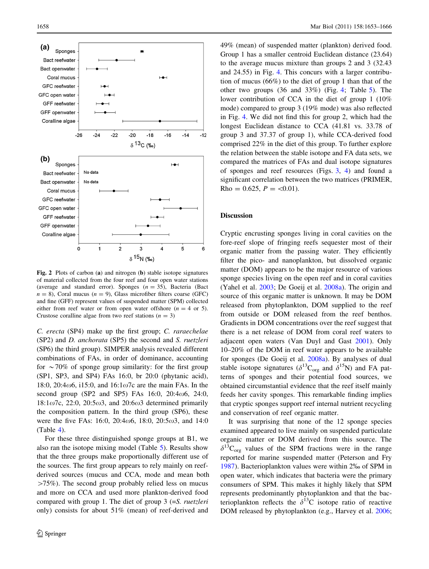<span id="page-5-0"></span>

Fig. 2 Plots of carbon (a) and nitrogen (b) stable isotope signatures of material collected from the four reef and four open water stations (average and standard error). Sponges  $(n = 35)$ , Bacteria (Bact  $n = 8$ ), Coral mucus ( $n = 9$ ), Glass microfiber filters coarse (GFC) and fine (GFF) represent values of suspended matter (SPM) collected either from reef water or from open water offshore  $(n = 4 \text{ or } 5)$ . Crustose coralline algae from two reef stations  $(n = 3)$ 

C. erecta (SP4) make up the first group; C. raraechelae (SP2) and D. anchorata (SP5) the second and S. ruetzleri (SP6) the third group). SIMPER analysis revealed different combinations of FAs, in order of dominance, accounting for  $\sim$  70% of sponge group similarity: for the first group (SP1, SP3, and SP4) FAs 16:0, br 20:0 (phytanic acid), 18:0, 20:4 $\omega$ 6, i15:0, and 16:1 $\omega$ 7c are the main FAs. In the second group (SP2 and SP5) FAs  $16:0$ ,  $20:4\omega$ 6, 24:0,  $18:1\omega$ 7c, 22:0, 20:5 $\omega$ 3, and 20:6 $\omega$ 3 determined primarily the composition pattern. In the third group (SP6), these were the five FAs: 16:0, 20:4 $\omega$ 6, 18:0, 20:5 $\omega$ 3, and 14:0 (Table [4](#page-8-0)).

For these three distinguished sponge groups at B1, we also ran the isotope mixing model (Table [5\)](#page-9-0). Results show that the three groups make proportionally different use of the sources. The first group appears to rely mainly on reefderived sources (mucus and CCA, mode and mean both  $>75\%$ ). The second group probably relied less on mucus and more on CCA and used more plankton-derived food compared with group 1. The diet of group 3 (=S. ruetzleri only) consists for about 51% (mean) of reef-derived and

49% (mean) of suspended matter (plankton) derived food. Group 1 has a smaller centroid Euclidean distance (23.64) to the average mucus mixture than groups 2 and 3 (32.43 and 24.55) in Fig. [4](#page-9-0). This concurs with a larger contribution of mucus (66%) to the diet of group 1 than that of the other two groups (36 and 33%) (Fig. [4](#page-9-0); Table [5](#page-9-0)). The lower contribution of CCA in the diet of group 1 (10% mode) compared to group 3 (19% mode) was also reflected in Fig. [4](#page-9-0). We did not find this for group 2, which had the longest Euclidean distance to CCA (41.81 vs. 33.78 of group 3 and 37.37 of group 1), while CCA-derived food comprised 22% in the diet of this group. To further explore the relation between the stable isotope and FA data sets, we compared the matrices of FAs and dual isotope signatures of sponges and reef resources (Figs. [3,](#page-7-0) [4\)](#page-9-0) and found a significant correlation between the two matrices (PRIMER, Rho = 0.625,  $P = \langle 0.01 \rangle$ .

### Discussion

Cryptic encrusting sponges living in coral cavities on the fore-reef slope of fringing reefs sequester most of their organic matter from the passing water. They efficiently filter the pico- and nanoplankton, but dissolved organic matter (DOM) appears to be the major resource of various sponge species living on the open reef and in coral cavities (Yahel et al. [2003](#page-13-0); De Goeij et al. [2008a\)](#page-11-0). The origin and source of this organic matter is unknown. It may be DOM released from phytoplankton, DOM supplied to the reef from outside or DOM released from the reef benthos. Gradients in DOM concentrations over the reef suggest that there is a net release of DOM from coral reef waters to adjacent open waters (Van Duyl and Gast [2001](#page-12-0)). Only 10–20% of the DOM in reef water appears to be available for sponges (De Goeij et al. [2008a\)](#page-11-0). By analyses of dual stable isotope signatures ( $\delta^{13}C_{org}$  and  $\delta^{15}N$ ) and FA patterns of sponges and their potential food sources, we obtained circumstantial evidence that the reef itself mainly feeds her cavity sponges. This remarkable finding implies that cryptic sponges support reef internal nutrient recycling and conservation of reef organic matter.

It was surprising that none of the 12 sponge species examined appeared to live mainly on suspended particulate organic matter or DOM derived from this source. The  $\delta^{13}C_{\text{org}}$  values of the SPM fractions were in the range reported for marine suspended matter (Peterson and Fry [1987](#page-12-0)). Bacterioplankton values were within 2‰ of SPM in open water, which indicates that bacteria were the primary consumers of SPM. This makes it highly likely that SPM represents predominantly phytoplankton and that the bacterioplankton reflects the  $\delta^{13}$ C isotope ratio of reactive DOM released by phytoplankton (e.g., Harvey et al. [2006](#page-11-0);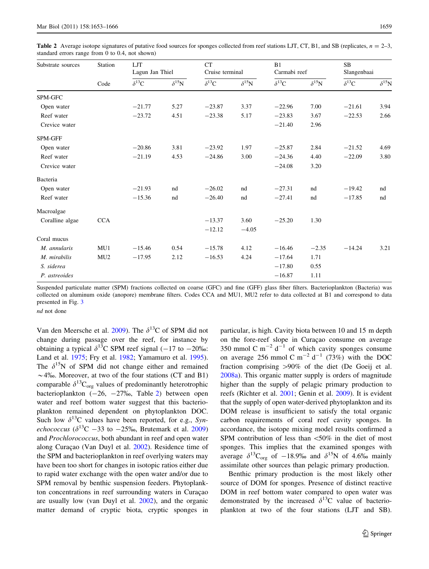<span id="page-6-0"></span>**Table 2** Average isotope signatures of putative food sources for sponges collected from reef stations LJT, CT, B1, and SB (replicates,  $n = 2-3$ , standard errors range from 0 to 0.4, not shown)

| Substrate sources | <b>Station</b> | <b>LJT</b><br>Lagun Jan Thiel |                | <b>CT</b><br>Cruise terminal |                | B1<br>Carmabi reef |                | <b>SB</b><br>Slangenbaai |                |
|-------------------|----------------|-------------------------------|----------------|------------------------------|----------------|--------------------|----------------|--------------------------|----------------|
|                   | Code           | $\delta^{13}C$                | $\delta^{15}N$ | $\delta^{13}C$               | $\delta^{15}N$ | $\delta^{13}C$     | $\delta^{15}N$ | $\delta^{13}C$           | $\delta^{15}N$ |
| SPM-GFC           |                |                               |                |                              |                |                    |                |                          |                |
| Open water        |                | $-21.77$                      | 5.27           | $-23.87$                     | 3.37           | $-22.96$           | 7.00           | $-21.61$                 | 3.94           |
| Reef water        |                | $-23.72$                      | 4.51           | $-23.38$                     | 5.17           | $-23.83$           | 3.67           | $-22.53$                 | 2.66           |
| Crevice water     |                |                               |                |                              |                | $-21.40$           | 2.96           |                          |                |
| SPM-GFF           |                |                               |                |                              |                |                    |                |                          |                |
| Open water        |                | $-20.86$                      | 3.81           | $-23.92$                     | 1.97           | $-25.87$           | 2.84           | $-21.52$                 | 4.69           |
| Reef water        |                | $-21.19$                      | 4.53           | $-24.86$                     | 3.00           | $-24.36$           | 4.40           | $-22.09$                 | 3.80           |
| Crevice water     |                |                               |                |                              |                | $-24.08$           | 3.20           |                          |                |
| Bacteria          |                |                               |                |                              |                |                    |                |                          |                |
| Open water        |                | $-21.93$                      | nd             | $-26.02$                     | nd             | $-27.31$           | nd             | $-19.42$                 | nd             |
| Reef water        |                | $-15.36$                      | nd             | $-26.40$                     | nd             | $-27.41$           | nd             | $-17.85$                 | nd             |
| Macroalgae        |                |                               |                |                              |                |                    |                |                          |                |
| Coralline algae   | <b>CCA</b>     |                               |                | $-13.37$                     | 3.60           | $-25.20$           | 1.30           |                          |                |
|                   |                |                               |                | $-12.12$                     | $-4.05$        |                    |                |                          |                |
| Coral mucus       |                |                               |                |                              |                |                    |                |                          |                |
| M. annularis      | MU1            | $-15.46$                      | 0.54           | $-15.78$                     | 4.12           | $-16.46$           | $-2.35$        | $-14.24$                 | 3.21           |
| M. mirabilis      | MU2            | $-17.95$                      | 2.12           | $-16.53$                     | 4.24           | $-17.64$           | 1.71           |                          |                |
| S. siderea        |                |                               |                |                              |                | $-17.80$           | 0.55           |                          |                |
| P. astreoides     |                |                               |                |                              |                | $-16.87$           | 1.11           |                          |                |

Suspended particulate matter (SPM) fractions collected on coarse (GFC) and fine (GFF) glass fiber filters. Bacterioplankton (Bacteria) was collected on aluminum oxide (anopore) membrane filters. Codes CCA and MU1, MU2 refer to data collected at B1 and correspond to data presented in Fig. [3](#page-7-0)

nd not done

Van den Meersche et al. [2009\)](#page-12-0). The  $\delta^{13}$ C of SPM did not change during passage over the reef, for instance by obtaining a typical  $\delta^{13}$ C SPM reef signal (-17 to -20‰: Land et al. [1975](#page-12-0); Fry et al. [1982](#page-11-0); Yamamuro et al. [1995](#page-13-0)). The  $\delta^{15}N$  of SPM did not change either and remained  $\sim$  4\%. Moreover, at two of the four stations (CT and B1) comparable  $\delta^{13}C_{org}$  values of predominantly heterotrophic bacterioplankton  $(-26, -27\%)$ , Table 2) between open water and reef bottom water suggest that this bacterioplankton remained dependent on phytoplankton DOC. Such low  $\delta^{13}$ C values have been reported, for e.g., Synechococcus ( $\delta^{13}$ C -33 to -25‰, Brutemark et al. [2009\)](#page-11-0) and Prochlorococcus, both abundant in reef and open water along Curação (Van Duyl et al. [2002](#page-12-0)). Residence time of the SPM and bacterioplankton in reef overlying waters may have been too short for changes in isotopic ratios either due to rapid water exchange with the open water and/or due to SPM removal by benthic suspension feeders. Phytoplankton concentrations in reef surrounding waters in Curaçao are usually low (van Duyl et al. [2002](#page-12-0)), and the organic matter demand of cryptic biota, cryptic sponges in

particular, is high. Cavity biota between 10 and 15 m depth on the fore-reef slope in Curação consume on average 350 mmol C  $m^{-2}$  d<sup>-1</sup> of which cavity sponges consume on average 256 mmol C m<sup>-2</sup> d<sup>-1</sup> (73%) with the DOC fraction comprising  $>90\%$  of the diet (De Goeij et al. [2008a\)](#page-11-0). This organic matter supply is orders of magnitude higher than the supply of pelagic primary production to reefs (Richter et al. [2001;](#page-12-0) Genin et al. [2009](#page-11-0)). It is evident that the supply of open water-derived phytoplankton and its DOM release is insufficient to satisfy the total organic carbon requirements of coral reef cavity sponges. In accordance, the isotope mixing model results confirmed a SPM contribution of less than  $\lt 50\%$  in the diet of most sponges. This implies that the examined sponges with average  $\delta^{13}C_{\text{org}}$  of  $-18.9\%$  and  $\delta^{15}N$  of 4.6% mainly assimilate other sources than pelagic primary production.

Benthic primary production is the most likely other source of DOM for sponges. Presence of distinct reactive DOM in reef bottom water compared to open water was demonstrated by the increased  $\delta^{13}$ C value of bacterioplankton at two of the four stations (LJT and SB).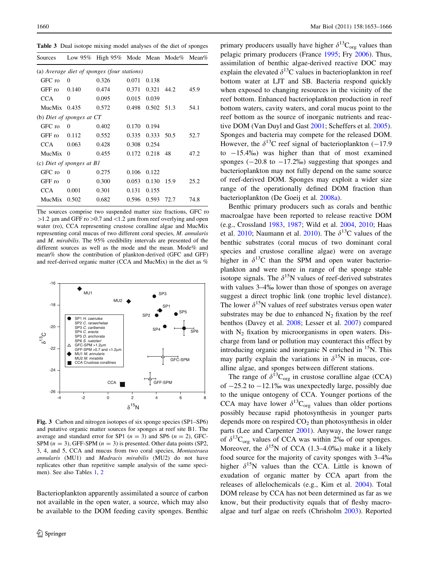<span id="page-7-0"></span>Table 3 Dual isotope mixing model analyses of the diet of sponges Sources Low 95% High 95% Mode Mean Mode% Mean%

| (a) Average diet of sponges (four stations) |          |       |       |              |      |      |
|---------------------------------------------|----------|-------|-------|--------------|------|------|
| GFC ro                                      | 0        | 0.326 | 0.071 | 0.138        |      |      |
| GFF ro                                      | 0.140    | 0.474 | 0.371 | 0.321        | 44.2 | 45.9 |
| CCA                                         | $\Omega$ | 0.095 | 0.015 | 0.039        |      |      |
| MucMix                                      | 0.435    | 0.572 | 0.498 | $0.502$ 51.3 |      | 54.1 |
| (b) Diet of sponges at $CT$                 |          |       |       |              |      |      |
| GFC ro                                      | 0        | 0.402 | 0.170 | 0.194        |      |      |
| GFF ro                                      | 0.112    | 0.552 | 0.335 | 0.333 50.5   |      | 52.7 |
| <b>CCA</b>                                  | 0.063    | 0.428 | 0.308 | 0.254        |      |      |
| <b>MucMix</b>                               | - 0      | 0.455 | 0.172 | 0.218        | -48  | 47.2 |
| (c) Diet of sponges at $BI$                 |          |       |       |              |      |      |
| GFC ro                                      | 0        | 0.275 | 0.106 | 0.122        |      |      |
| GFF ro                                      | $\Omega$ | 0.300 | 0.053 | 0.130        | 15.9 | 25.2 |
| CCA                                         | 0.001    | 0.301 | 0.131 | 0.155        |      |      |
| <b>MucMix</b>                               | 0.502    | 0.682 | 0.596 | 0.593        | 72.7 | 74.8 |

The sources comprise two suspended matter size fractions, GFC ro  $>1.2$  µm and GFF ro $>0.7$  and  $<1.2$  µm from reef overlying and open water (ro), CCA representing crustose coralline algae and MucMix representing coral mucus of two different coral species, M. annularis and M. mirabilis. The 95% credibility intervals are presented of the different sources as well as the mode and the mean. Mode% and mean% show the contribution of plankton-derived (GFC and GFF) and reef-derived organic matter (CCA and MucMix) in the diet as %



Fig. 3 Carbon and nitrogen isotopes of six sponge species (SP1–SP6) and putative organic matter sources for sponges at reef site B1. The average and standard error for SP1 ( $n = 3$ ) and SP6 ( $n = 2$ ), GFC-SPM  $(n = 3)$ , GFF-SPM  $(n = 3)$  is presented. Other data points (SP2, 3, 4, and 5, CCA and mucus from two coral species, Montastraea annularis (MU1) and Madracis mirabilis (MU2) do not have replicates other than repetitive sample analysis of the same specimen). See also Tables [1,](#page-4-0) [2](#page-6-0)

Bacterioplankton apparently assimilated a source of carbon not available in the open water, a source, which may also be available to the DOM feeding cavity sponges. Benthic

primary producers usually have higher  $\delta^{13}C_{org}$  values than pelagic primary producers (France [1995;](#page-11-0) Fry [2006\)](#page-11-0). Thus, assimilation of benthic algae-derived reactive DOC may explain the elevated  $\delta^{13}$ C values in bacterioplankton in reef bottom water at LJT and SB. Bacteria respond quickly when exposed to changing resources in the vicinity of the reef bottom. Enhanced bacterioplankton production in reef bottom waters, cavity waters, and coral mucus point to the reef bottom as the source of inorganic nutrients and reactive DOM (Van Duyl and Gast [2001](#page-12-0); Scheffers et al. [2005](#page-12-0)). Sponges and bacteria may compete for the released DOM. However, the  $\delta^{13}$ C reef signal of bacterioplankton (-17.9) to  $-15.4\%$ ) was higher than that of most examined sponges  $(-20.8 \text{ to } -17.2\%)$  suggesting that sponges and bacterioplankton may not fully depend on the same source of reef-derived DOM. Sponges may exploit a wider size range of the operationally defined DOM fraction than bacterioplankton (De Goeij et al. [2008a\)](#page-11-0).

Benthic primary producers such as corals and benthic macroalgae have been reported to release reactive DOM (e.g., Crossland [1983](#page-11-0), [1987;](#page-11-0) Wild et al. [2004](#page-12-0), [2010](#page-12-0); Haas et al. [2010;](#page-11-0) Naumann et al. [2010](#page-12-0)). The  $\delta^{13}$ C values of the benthic substrates (coral mucus of two dominant coral species and crustose coralline algae) were on average higher in  $\delta^{13}$ C than the SPM and open water bacterioplankton and were more in range of the sponge stable isotope signals. The  $\delta^{15}N$  values of reef-derived substrates with values  $3-4\%$  lower than those of sponges on average suggest a direct trophic link (one trophic level distance). The lower  $\delta^{15}N$  values of reef substrates versus open water substrates may be due to enhanced  $N_2$  fixation by the reef benthos (Davey et al. [2008;](#page-11-0) Lesser et al. [2007\)](#page-12-0) compared with  $N_2$  fixation by microorganisms in open waters. Discharge from land or pollution may counteract this effect by introducing organic and inorganic N enriched in  $^{15}$ N. This may partly explain the variations in  $\delta^{15}N$  in mucus, coralline algae, and sponges between different stations.

The range of  $\delta^{13}C_{\text{org}}$  in crustose coralline algae (CCA) of  $-25.2$  to  $-12.1\%$  was unexpectedly large, possibly due to the unique ontogeny of CCA. Younger portions of the CCA may have lower  $\delta^{13}C_{org}$  values than older portions possibly because rapid photosynthesis in younger parts depends more on respired  $CO<sub>2</sub>$  than photosynthesis in older parts (Lee and Carpenter [2001](#page-12-0)). Anyway, the lower range of  $\delta^{13}C_{org}$  values of CCA was within 2% of our sponges. Moreover, the  $\delta^{15}N$  of CCA (1.3–4.0%) make it a likely food source for the majority of cavity sponges with 3–4% higher  $\delta^{15}N$  values than the CCA. Little is known of exudation of organic matter by CCA apart from the releases of allelochemicals (e.g., Kim et al. [2004](#page-12-0)). Total DOM release by CCA has not been determined as far as we know, but their productivity equals that of fleshy macroalgae and turf algae on reefs (Chrisholm [2003](#page-11-0)). Reported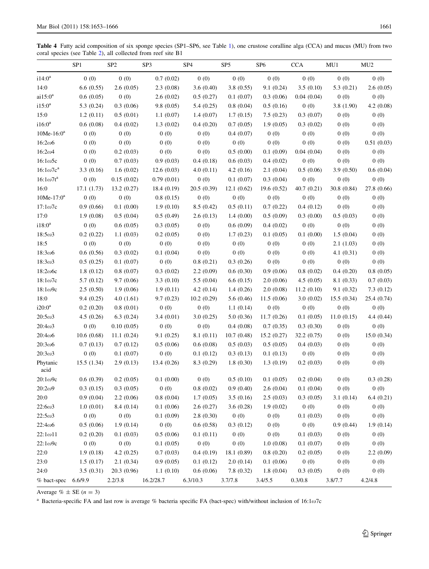<span id="page-8-0"></span>Table 4 Fatty acid composition of six sponge species (SP1–SP6, see Table [1\)](#page-4-0), one crustose coralline alga (CCA) and mucus (MU) from two coral species (see Table [2](#page-6-0)), all collected from reef site B1

|                              | SP <sub>1</sub> | SP <sub>2</sub> | SP <sub>3</sub> | SP <sub>4</sub> | SP <sub>5</sub> | SP <sub>6</sub> | <b>CCA</b>  | MU1         | MU <sub>2</sub> |
|------------------------------|-----------------|-----------------|-----------------|-----------------|-----------------|-----------------|-------------|-------------|-----------------|
| $i14:0^a$                    | 0(0)            | 0(0)            | 0.7(0.02)       | 0(0)            | 0(0)            | 0(0)            | 0(0)        | 0(0)        | 0(0)            |
| 14:0                         | 6.6(0.55)       | 2.6(0.05)       | 2.3(0.08)       | 3.6(0.40)       | 3.8(0.55)       | 9.1(0.24)       | 3.5(0.10)   | 5.3(0.21)   | 2.6(0.05)       |
| ai15:0 <sup>a</sup>          | 0.6(0.05)       | 0(0)            | 2.6(0.02)       | 0.5(0.27)       | 0.1(0.07)       | 0.3(0.06)       | 0.04(0.04)  | 0(0)        | 0(0)            |
| $i15:0^a$                    | 5.3(0.24)       | 0.3(0.06)       | 9.8(0.05)       | 5.4(0.25)       | 0.8(0.04)       | 0.5(0.16)       | 0(0)        | 3.8 (1.90)  | 4.2(0.08)       |
| 15:0                         | 1.2(0.11)       | 0.5(0.01)       | 1.1(0.07)       | 1.4(0.07)       | 1.7(0.15)       | 7.5(0.23)       | 0.3(0.07)   | 0(0)        | 0(0)            |
| $i16:0^a$                    | 0.6(0.08)       | 0.4(0.02)       | 1.3(0.02)       | 0.4(0.20)       | 0.7(0.05)       | 1.9(0.05)       | 0.3(0.02)   | 0(0)        | 0(0)            |
| $10Me-16:0^a$                | 0(0)            | 0(0)            | 0(0)            | 0(0)            | 0.4(0.07)       | 0(0)            | 0(0)        | 0(0)        | 0(0)            |
| $16:2\omega$                 | 0(0)            | 0(0)            | 0(0)            | 0(0)            | 0(0)            | 0(0)            | 0(0)        | 0(0)        | 0.51(0.03)      |
| $16:2\omega$ 4               | 0(0)            | 0.2(0.03)       | 0(0)            | 0(0)            | 0.5(0.00)       | 0.1(0.09)       | 0.04(0.04)  | 0(0)        | 0(0)            |
| $16:1\omega$ 5c              | 0(0)            | 0.7(0.03)       | 0.9(0.03)       | 0.4(0.18)       | 0.6(0.03)       | 0.4(0.02)       | 0(0)        | 0(0)        | 0(0)            |
| $16:1\omega$ 7c <sup>a</sup> | 3.3(0.16)       | 1.6(0.02)       | 12.6(0.03)      | 4.0(0.11)       | 4.2(0.16)       | 2.1(0.04)       | 0.5(0.06)   | 3.9 (0.50)  | 0.6(0.04)       |
| $16:1\omega$ 7t <sup>a</sup> | 0(0)            | 0.15(0.02)      | 0.79(0.01)      | 0(0)            | 0.1(0.07)       | 0.3(0.04)       | 0(0)        | 0(0)        | 0(0)            |
| 16:0                         | 17.1(1.73)      | 13.2(0.27)      | 18.4(0.19)      | 20.5(0.39)      | 12.1(0.62)      | 19.6 (0.52)     | 40.7(0.21)  | 30.8 (0.84) | 27.8 (0.66)     |
| $10Me-17:0^a$                | 0(0)            | 0(0)            | 0.8(0.15)       | 0(0)            | 0(0)            | 0(0)            | 0(0)        | 0(0)        | 0(0)            |
| $17:1\omega$ 7c              | 0.9(0.66)       | 0.1(0.00)       | 1.9(0.10)       | 8.5(0.42)       | 0.5(0.11)       | 0.7(0.22)       | 0.4(0.12)   | 0(0)        | 0(0)            |
| 17:0                         | 1.9(0.08)       | 0.5(0.04)       | 0.5(0.49)       | 2.6(0.13)       | 1.4(0.00)       | 0.5(0.09)       | 0.3(0.00)   | 0.5(0.03)   | 0(0)            |
| $i18:0^a$                    | 0(0)            | 0.6(0.05)       | 0.3(0.05)       | 0(0)            | 0.6(0.09)       | 0.4(0.02)       | 0(0)        | 0(0)        | 0(0)            |
| $18:5\omega3$                | 0.2(0.22)       | 1.1(0.03)       | 0.2(0.05)       | 0(0)            | 1.7(0.23)       | 0.1(0.05)       | 0.1(0.00)   | 1.5(0.04)   | 0(0)            |
| 18:5                         | 0(0)            | 0(0)            | 0(0)            | 0(0)            | 0(0)            | 0(0)            | 0(0)        | 2.1(1.03)   | 0(0)            |
| $18:3\omega$ 6               | 0.6(0.56)       | 0.3(0.02)       | 0.1(0.04)       | 0(0)            | 0(0)            | 0(0)            | 0(0)        | 4.1(0.31)   | 0(0)            |
| $18:3\omega3$                | 0.5(0.25)       | 0.1(0.07)       | 0(0)            | 0.8(0.21)       | 0.3(0.26)       | 0(0)            | 0(0)        | 0(0)        | 0(0)            |
| $18:2\omega$ 6c              | 1.8(0.12)       | 0.8(0.07)       | 0.3(0.02)       | 2.2(0.09)       | 0.6(0.30)       | 0.9(0.06)       | 0.8(0.02)   | 0.4(0.20)   | 0.8(0.05)       |
| $18:1\omega$ 7c              | 5.7(0.12)       | 9.7(0.06)       | 3.3(0.10)       | 5.5(0.04)       | 6.6(0.15)       | 2.0(0.06)       | 4.5(0.05)   | 8.1 (0.33)  | 0.7(0.03)       |
| $18:1\omega$ 9c              | 2.5(0.50)       | 1.9(0.06)       | 1.9(0.11)       | 4.2(0.14)       | 1.4(0.26)       | 2.0(0.08)       | 11.2(0.10)  | 9.1(0.32)   | 7.3(0.12)       |
| 18:0                         | 9.4(0.25)       | 4.0(1.61)       | 9.7(0.23)       | 10.2(0.29)      | 5.6(0.46)       | 11.5(0.06)      | 3.0(0.02)   | 15.5 (0.34) | 25.4 (0.74)     |
| $i20:0^a$                    | 0.2(0.20)       | 0.8(0.01)       | 0(0)            | 0(0)            | 1.1(0.14)       | 0(0)            | 0(0)        | 0(0)        | 0(0)            |
| $20:5\omega3$                | 4.5(0.26)       | 6.3(0.24)       | 3.4(0.01)       | 3.0(0.25)       | 5.0(0.36)       | 11.7 (0.26)     | 0.1(0.05)   | 11.0(0.15)  | 4.4(0.44)       |
| $20:4\omega$ 3               | 0(0)            | 0.10(0.05)      | 0(0)            | 0(0)            | 0.4(0.08)       | 0.7(0.35)       | 0.3(0.30)   | 0(0)        | 0(0)            |
| $20:4\omega$                 | 10.6(0.68)      | 11.1(0.24)      | 9.1(0.25)       | 8.1(0.11)       | 10.7(0.48)      | 15.2(0.27)      | 32.2 (0.75) | 0(0)        | 15.0(0.34)      |
| $20:3\omega$ 6               | 0.7(0.13)       | 0.7(0.12)       | 0.5(0.06)       | 0.6(0.08)       | 0.5(0.03)       | 0.5(0.05)       | 0.4(0.03)   | 0(0)        | 0(0)            |
| $20:3\omega3$                | 0(0)            | 0.1(0.07)       | 0(0)            | 0.1(0.12)       | 0.3(0.13)       | 0.1(0.13)       | 0(0)        | 0(0)        | 0(0)            |
| Phytanic<br>acid             | 15.5(1.34)      | 2.9(0.13)       | 13.4(0.26)      | 8.3(0.29)       | 1.8(0.30)       | 1.3(0.19)       | 0.2(0.03)   | 0(0)        | 0(0)            |
| $20:1\omega$ 9c              | 0.6(0.39)       | 0.2(0.05)       | 0.1(0.00)       | 0(0)            | 0.5(0.10)       | 0.1(0.05)       | 0.2(0.04)   | 0(0)        | 0.3(0.28)       |
| $20:2\omega9$                | 0.3(0.15)       | 0.3(0.05)       | 0(0)            | 0.8(0.02)       | 0.9(0.40)       | 2.6(0.04)       | 0.1(0.04)   | 0(0)        | 0(0)            |
| 20:0                         | 0.9(0.04)       | 2.2(0.06)       | 0.8(0.04)       | 1.7(0.05)       | 3.5(0.16)       | 2.5(0.03)       | 0.3(0.05)   | 3.1(0.14)   | 6.4(0.21)       |
| $22:6\omega3$                | 1.0(0.01)       | 8.4(0.14)       | 0.1(0.06)       | 2.6(0.27)       | 3.6(0.28)       | 1.9(0.02)       | 0(0)        | 0(0)        | 0(0)            |
| $22:5\omega3$                | 0(0)            | 0(0)            | 0.1(0.09)       | 2.8(0.30)       | 0(0)            | 0(0)            | 0.1(0.03)   | 0(0)        | 0(0)            |
| $22:4\omega 6$               | 0.5(0.06)       | 1.9(0.14)       | 0(0)            | 0.6(0.58)       | 0.3(0.12)       | 0(0)            | 0(0)        | 0.9(0.44)   | 1.9(0.14)       |
| $22:1\omega11$               | 0.2(0.20)       | 0.1(0.03)       | 0.5(0.06)       | 0.1(0.11)       | 0(0)            | 0(0)            | 0.1(0.03)   | 0(0)        | 0(0)            |
| $22:1\omega$ 9c              | 0(0)            | 0(0)            | 0.1(0.05)       | 0(0)            | 0(0)            | 1.0(0.08)       | 0.1(0.07)   | 0(0)        | 0(0)            |
| 22:0                         | 1.9(0.18)       | 4.2(0.25)       | 0.7(0.03)       | 0.4(0.19)       | 18.1 (0.89)     | 0.8(0.20)       | 0.2(0.05)   | 0(0)        | 2.2(0.09)       |
| 23:0                         | 1.5(0.17)       | 2.1(0.34)       | 0.9(0.05)       | 0.1(0.12)       | 2.0(0.14)       | 0.1(0.06)       | 0(0)        | 0(0)        | 0(0)            |
| 24:0                         | 3.5(0.31)       | 20.3(0.96)      | 1.1(0.10)       | 0.6(0.06)       | 7.8(0.32)       | 1.8(0.04)       | 0.3(0.05)   | 0(0)        | 0(0)            |
| % bact-spec                  | 6.6/9.9         | 2.2/3.8         | 16.2/28.7       | 6.3/10.3        | 3.7/7.8         | 3.4/5.5         | 0.3/0.8     | 3.8/7.7     | 4.2/4.8         |

Average  $\% \pm \text{SE} (n = 3)$ 

<sup>a</sup> Bacteria-specific FA and last row is average % bacteria specific FA (bact-spec) with/without inclusion of  $16:1\omega$ 7c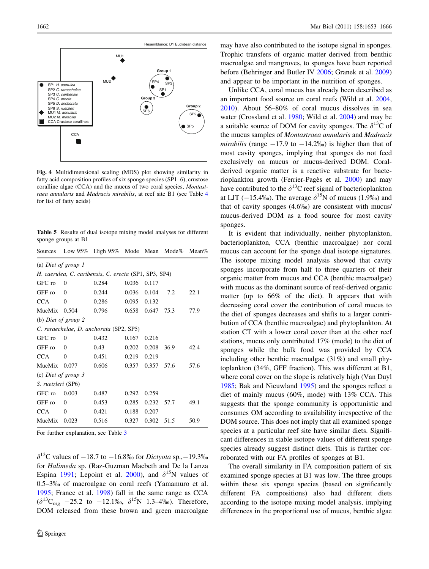<span id="page-9-0"></span>

Fig. 4 Multidimensional scaling (MDS) plot showing similarity in fatty acid composition profiles of six sponge species (SP1–6), crustose coralline algae (CCA) and the mucus of two coral species, Montastraea annularis and Madracis mirabilis, at reef site B1 (see Table [4](#page-7-0) for list of fatty acids)

Table 5 Results of dual isotope mixing model analyses for different sponge groups at B1

| Sources            |                           | Low 95% High 95% Mode Mean Mode% Mean%                |       |             |      |      |
|--------------------|---------------------------|-------------------------------------------------------|-------|-------------|------|------|
|                    | (a) Diet of group $1$     |                                                       |       |             |      |      |
|                    |                           | H. caerulea, C. caribensis, C. erecta (SP1, SP3, SP4) |       |             |      |      |
| GFC ro             | $\Omega$                  | 0.284                                                 | 0.036 | 0.117       |      |      |
| GFF ro             | $\Omega$                  | 0.244                                                 | 0.036 | 0.104       | 7.2  | 22.1 |
| <b>CCA</b>         | $\Omega$                  | 0.286                                                 | 0.095 | 0.132       |      |      |
| MucMix             | 0.504                     | 0.796                                                 |       | 0.658 0.647 | 75.3 | 77.9 |
|                    | (b) Diet of group $2$     |                                                       |       |             |      |      |
|                    |                           | C. raraechelae, D. anchorata (SP2, SP5)               |       |             |      |      |
| GFC ro             | $\Omega$                  | 0.432                                                 | 0.167 | 0.216       |      |      |
| GFF ro             | $\theta$                  | 0.43                                                  | 0.202 | 0.208       | 36.9 | 42.4 |
| <b>CCA</b>         | $\mathbf{0}$              | 0.451                                                 | 0.219 | 0.219       |      |      |
| $MucMix$ 0.077     |                           | 0.606                                                 | 0.357 | 0.357       | 57.6 | 57.6 |
|                    | (c) Diet of group $\beta$ |                                                       |       |             |      |      |
| S. ruetzleri (SP6) |                           |                                                       |       |             |      |      |
| GFC ro             | 0.003                     | 0.487                                                 | 0.292 | 0.259       |      |      |
| GFF ro             | $\Omega$                  | 0.453                                                 | 0.285 | 0.232       | 57.7 | 49.1 |
| <b>CCA</b>         | $\Omega$                  | 0.421                                                 | 0.188 | 0.207       |      |      |
| MucMix             | 0.023                     | 0.516                                                 | 0.327 | 0.302       | 51.5 | 50.9 |
|                    |                           |                                                       |       |             |      |      |

For further explanation, see Table [3](#page-7-0)

 $\delta^{13}$ C values of  $-18.7$  to  $-16.8\%$  for *Dictyota* sp.,  $-19.3\%$ for Halimeda sp. (Raz-Guzman Macbeth and De la Lanza Espina [1991](#page-12-0); Lepoint et al. [2000\)](#page-12-0), and  $\delta^{15}N$  values of 0.5–3% of macroalgae on coral reefs (Yamamuro et al. [1995;](#page-13-0) France et al. [1998\)](#page-11-0) fall in the same range as CCA  $(\delta^{13}C_{org} - 25.2 \text{ to } -12.1\%$ ,  $\delta^{15}N$  1.3–4%). Therefore, DOM released from these brown and green macroalgae may have also contributed to the isotope signal in sponges. Trophic transfers of organic matter derived from benthic macroalgae and mangroves, to sponges have been reported before (Behringer and Butler IV [2006;](#page-11-0) Granek et al. [2009\)](#page-11-0) and appear to be important in the nutrition of sponges.

Unlike CCA, coral mucus has already been described as an important food source on coral reefs (Wild et al. [2004,](#page-12-0) [2010](#page-12-0)). About 56–80% of coral mucus dissolves in sea water (Crossland et al. [1980;](#page-11-0) Wild et al. [2004](#page-12-0)) and may be a suitable source of DOM for cavity sponges. The  $\delta^{13}C$  of the mucus samples of Montastraea annularis and Madracis mirabilis (range  $-17.9$  to  $-14.2\%$ ) is higher than that of most cavity sponges, implying that sponges do not feed exclusively on mucus or mucus-derived DOM. Coralderived organic matter is a reactive substrate for bacte-rioplankton growth (Ferrier-Pages et al. [2000](#page-11-0)) and may have contributed to the  $\delta^{13}$ C reef signal of bacterioplankton at LJT ( $-15.4\%$ ). The average  $\delta^{15}N$  of mucus (1.9%) and that of cavity sponges (4.6%) are consistent with mucus/ mucus-derived DOM as a food source for most cavity sponges.

It is evident that individually, neither phytoplankton, bacterioplankton, CCA (benthic macroalgae) nor coral mucus can account for the sponge dual isotope signatures. The isotope mixing model analysis showed that cavity sponges incorporate from half to three quarters of their organic matter from mucus and CCA (benthic macroalgae) with mucus as the dominant source of reef-derived organic matter (up to 66% of the diet). It appears that with decreasing coral cover the contribution of coral mucus to the diet of sponges decreases and shifts to a larger contribution of CCA (benthic macroalgae) and phytoplankton. At station CT with a lower coral cover than at the other reef stations, mucus only contributed 17% (mode) to the diet of sponges while the bulk food was provided by CCA including other benthic macroalgae (31%) and small phytoplankton (34%, GFF fraction). This was different at B1, where coral cover on the slope is relatively high (Van Duyl [1985](#page-12-0); Bak and Nieuwland [1995](#page-11-0)) and the sponges reflect a diet of mainly mucus (60%, mode) with 13% CCA. This suggests that the sponge community is opportunistic and consumes OM according to availability irrespective of the DOM source. This does not imply that all examined sponge species at a particular reef site have similar diets. Significant differences in stable isotope values of different sponge species already suggest distinct diets. This is further corroborated with our FA profiles of sponges at B1.

The overall similarity in FA composition pattern of six examined sponge species at B1 was low. The three groups within these six sponge species (based on significantly different FA compositions) also had different diets according to the isotope mixing model analysis, implying differences in the proportional use of mucus, benthic algae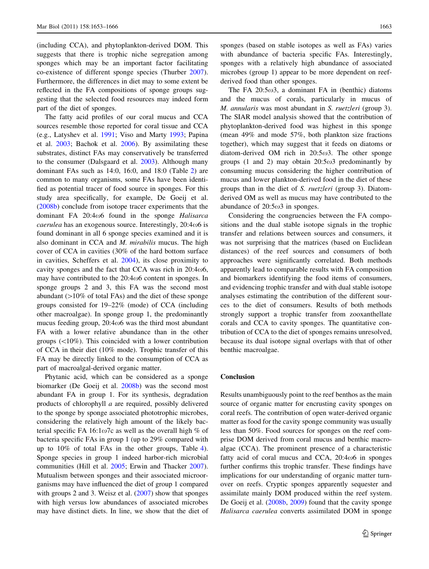(including CCA), and phytoplankton-derived DOM. This suggests that there is trophic niche segregation among sponges which may be an important factor facilitating co-existence of different sponge species (Thurber [2007](#page-12-0)). Furthermore, the differences in diet may to some extent be reflected in the FA compositions of sponge groups suggesting that the selected food resources may indeed form part of the diet of sponges.

The fatty acid profiles of our coral mucus and CCA sources resemble those reported for coral tissue and CCA (e.g., Latyshev et al. [1991;](#page-12-0) Viso and Marty [1993](#page-12-0); Papina et al. [2003;](#page-12-0) Bachok et al. [2006\)](#page-11-0). By assimilating these substrates, distinct FAs may conservatively be transferred to the consumer (Dalsgaard et al. [2003](#page-11-0)). Although many dominant FAs such as 14:0, 16:0, and 18:0 (Table [2\)](#page-6-0) are common to many organisms, some FAs have been identified as potential tracer of food source in sponges. For this study area specifically, for example, De Goeij et al. [\(2008b](#page-11-0)) conclude from isotope tracer experiments that the dominant FA  $20:4\omega$ 6 found in the sponge Halisarca *caerulea* has an exogenous source. Interestingly,  $20:4\omega$ 6 is found dominant in all 6 sponge species examined and it is also dominant in CCA and M. mirabilis mucus. The high cover of CCA in cavities (30% of the hard bottom surface in cavities, Scheffers et al. [2004\)](#page-12-0), its close proximity to cavity sponges and the fact that CCA was rich in  $20:4\omega$ 6, may have contributed to the  $20:4\omega$ 6 content in sponges. In sponge groups 2 and 3, this FA was the second most abundant  $(>10\%$  of total FAs) and the diet of these sponge groups consisted for 19–22% (mode) of CCA (including other macroalgae). In sponge group 1, the predominantly mucus feeding group,  $20:4\omega$ 6 was the third most abundant FA with a lower relative abundance than in the other groups  $(\langle 10\% \rangle)$ . This coincided with a lower contribution of CCA in their diet (10% mode). Trophic transfer of this FA may be directly linked to the consumption of CCA as part of macroalgal-derived organic matter.

Phytanic acid, which can be considered as a sponge biomarker (De Goeij et al. [2008b](#page-11-0)) was the second most abundant FA in group 1. For its synthesis, degradation products of chlorophyll a are required, possibly delivered to the sponge by sponge associated phototrophic microbes, considering the relatively high amount of the likely bacterial specific FA 16:1 $\omega$ 7c as well as the overall high % of bacteria specific FAs in group 1 (up to 29% compared with up to 10% of total FAs in the other groups, Table [4](#page-8-0)). Sponge species in group 1 indeed harbor-rich microbial communities (Hill et al. [2005;](#page-11-0) Erwin and Thacker [2007](#page-11-0)). Mutualism between sponges and their associated microorganisms may have influenced the diet of group 1 compared with groups 2 and 3. Weisz et al. ([2007\)](#page-12-0) show that sponges with high versus low abundances of associated microbes may have distinct diets. In line, we show that the diet of sponges (based on stable isotopes as well as FAs) varies with abundance of bacteria specific FAs. Interestingly, sponges with a relatively high abundance of associated microbes (group 1) appear to be more dependent on reefderived food than other sponges.

The FA  $20:5\omega3$ , a dominant FA in (benthic) diatoms and the mucus of corals, particularly in mucus of M. annularis was most abundant in S. ruetzleri (group 3). The SIAR model analysis showed that the contribution of phytoplankton-derived food was highest in this sponge (mean 49% and mode 57%, both plankton size fractions together), which may suggest that it feeds on diatoms or diatom-derived OM rich in  $20:5\omega3$ . The other sponge groups (1 and 2) may obtain  $20:5\omega3$  predominantly by consuming mucus considering the higher contribution of mucus and lower plankton-derived food in the diet of these groups than in the diet of S. ruetzleri (group 3). Diatomderived OM as well as mucus may have contributed to the abundance of  $20:5\omega3$  in sponges.

Considering the congruencies between the FA compositions and the dual stable isotope signals in the trophic transfer and relations between sources and consumers, it was not surprising that the matrices (based on Euclidean distances) of the reef sources and consumers of both approaches were significantly correlated. Both methods apparently lead to comparable results with FA composition and biomarkers identifying the food items of consumers, and evidencing trophic transfer and with dual stable isotope analyses estimating the contribution of the different sources to the diet of consumers. Results of both methods strongly support a trophic transfer from zooxanthellate corals and CCA to cavity sponges. The quantitative contribution of CCA to the diet of sponges remains unresolved, because its dual isotope signal overlaps with that of other benthic macroalgae.

# Conclusion

Results unambiguously point to the reef benthos as the main source of organic matter for encrusting cavity sponges on coral reefs. The contribution of open water-derived organic matter as food for the cavity sponge community was usually less than 50%. Food sources for sponges on the reef comprise DOM derived from coral mucus and benthic macroalgae (CCA). The prominent presence of a characteristic fatty acid of coral mucus and CCA,  $20:4\omega$ 6 in sponges further confirms this trophic transfer. These findings have implications for our understanding of organic matter turnover on reefs. Cryptic sponges apparently sequester and assimilate mainly DOM produced within the reef system. De Goeij et al. [\(2008b](#page-11-0), [2009\)](#page-11-0) found that the cavity sponge Halisarca caerulea converts assimilated DOM in sponge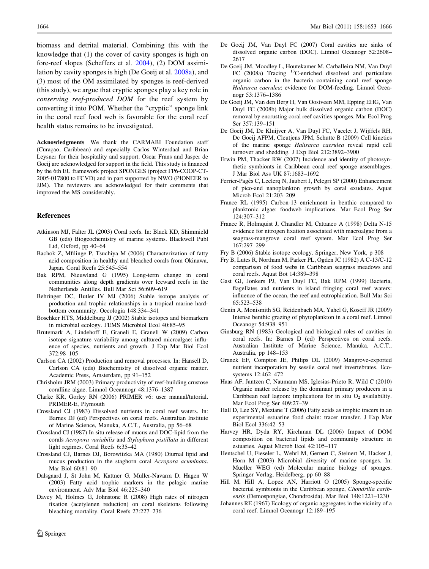<span id="page-11-0"></span>biomass and detrital material. Combining this with the knowledge that (1) the cover of cavity sponges is high on fore-reef slopes (Scheffers et al. [2004](#page-12-0)), (2) DOM assimilation by cavity sponges is high (De Goeij et al. 2008a), and (3) most of the OM assimilated by sponges is reef-derived (this study), we argue that cryptic sponges play a key role in conserving reef-produced DOM for the reef system by converting it into POM. Whether the ''cryptic'' sponge link in the coral reef food web is favorable for the coral reef health status remains to be investigated.

Acknowledgments We thank the CARMABI Foundation staff (Curaçao, Caribbean) and especially Carlos Winterdaal and Brian Leysner for their hospitality and support. Oscar Frans and Jasper de Goeij are acknowledged for support in the field. This study is financed by the 6th EU framework project SPONGES (project FP6-COOP-CT-2005-017800 to FCVD) and in part supported by NWO (PIONEER to JJM). The reviewers are acknowledged for their comments that improved the MS considerably.

#### References

- Atkinson MJ, Falter JL (2003) Coral reefs. In: Black KD, Shimmield GB (eds) Biogeochemistry of marine systems. Blackwell Publ Ltd, Oxford, pp 40–64
- Bachok Z, Mfilinge P, Tsuchiya M (2006) Characterization of fatty acid composition in healthy and bleached corals from Okinawa, Japan. Coral Reefs 25:545–554
- Bak RPM, Nieuwland G (1995) Long-term change in coral communities along depth gradients over leeward reefs in the Netherlands Antilles. Bull Mar Sci 56:609–619
- Behringer DC, Butler IV MJ (2006) Stable isotope analysis of production and trophic relationships in a tropical marine hardbottom community. Oecologia 148:334–341
- Boschker HTS, Middelburg JJ (2002) Stable isotopes and biomarkers in microbial ecology. FEMS Microbiol Ecol 40:85–95
- Brutemark A, Lindehoff E, Graneli E, Graneli W (2009) Carbon isotope signature variability among cultured microalgae: influence of species, nutrients and growth. J Exp Mar Biol Ecol 372:98–105
- Carlson CA (2002) Production and removal processes. In: Hansell D, Carlson CA (eds) Biochemistry of dissolved organic matter. Academic Press, Amsterdam, pp 91–152
- Chrisholm JRM (2003) Primary productivity of reef-building crustose coralline algae. Limnol Oceannogr 48:1376–1387
- Clarke KR, Gorley RN (2006) PRIMER v6: user manual/tutorial. PRIMER-E, Plymouth
- Crossland CJ (1983) Dissolved nutrients in coral reef waters. In: Barnes DJ (ed) Perspectives on coral reefs. Australian Institute of Marine Science, Manuka, A.C.T., Australia, pp 56–68
- Crossland CJ (1987) In situ release of mucus and DOC-lipid from the corals Acropora variabilis and Stylophora pistillata in different light regimes. Coral Reefs 6:35–42
- Crossland CJ, Barnes DJ, Borowitzka MA (1980) Diurnal lipid and mucus production in the staghorn coral Acropora acuminata. Mar Biol 60:81–90
- Dalsgaard J, St John M, Kattner G, Muller-Navarra D, Hagen W (2003) Fatty acid trophic markers in the pelagic marine environment. Adv Mar Biol 46:225–340
- Davey M, Holmes G, Johnstone R (2008) High rates of nitrogen fixation (acetylenen reduction) on coral skeletons following bleaching mortality. Coral Reefs 27:227–236
- De Goeij JM, Van Duyl FC (2007) Coral cavities are sinks of dissolved organic carbon (DOC). Limnol Oceanogr 52:2608– 2617
- De Goeij JM, Moodley L, Houtekamer M, Carballeira NM, Van Duyl FC (2008a) Tracing <sup>13</sup>C-enriched dissolved and particulate organic carbon in the bacteria containing coral reef sponge Halisarca caerulea: evidence for DOM-feeding. Limnol Oceanogr 53:1376–1386
- De Goeij JM, Van den Berg H, Van Oostveen MM, Epping EHG, Van Duyl FC (2008b) Major bulk dissolved organic carbon (DOC) removal by encrusting coral reef cavities sponges. Mar Ecol Prog Ser 357:139–151
- De Goeij JM, De Kluijver A, Van Duyl FC, Vacelet J, Wijffels RH, De Goeij AFPM, Cleutjens JPM, Schutte B (2009) Cell kinetics of the marine sponge Halisarca caerulea reveal rapid cell turnover and shedding. J Exp Biol 212:3892–3900
- Erwin PM, Thacker RW (2007) Incidence and identity of photosynthetic symbionts in Caribbean coral reef sponge assemblages. J Mar Biol Ass UK 87:1683–1692
- Ferrier-Pagès C, Leclerq N, Jaubert J, Pelegri SP (2000) Enhancement of pico-and nanoplankton growth by coral exudates. Aquat Microb Ecol 21:203–209
- France RL (1995) Carbon-13 enrichment in benthic compared to planktonic algae: foodweb implications. Mar Ecol Prog Ser 124:307–312
- France R, Holmquist J, Chandler M, Cattaneo A (1998) Delta N-15 evidence for nitrogen fixation associated with macroalgae from a seagrass-mangrove coral reef system. Mar Ecol Prog Ser 167:297–299
- Fry B (2006) Stable isotope ecology. Springer, New York, p 308
- Fry B, Lutes R, Northam M, Parker PL, Ogden JC (1982) A C-13/C-12 comparison of food webs in Caribbean seagrass meadows and coral reefs. Aquat Bot 14:389–398
- Gast GJ, Jonkers PJ, Van Duyl FC, Bak RPM (1999) Bacteria, flagellates and nutrients in island fringing coral reef waters: influence of the ocean, the reef and eutrophication. Bull Mar Sci 65:523–538
- Genin A, Monismith SG, Reidenbach MA, Yahel G, Koseff JR (2009) Intense benthic grazing of phytoplankton in a coral reef. Limnol Oceanogr 54:938–951
- Ginsburg RN (1983) Geological and biological roles of cavities in coral reefs. In: Barnes D (ed) Perspectives on coral reefs. Australian Institute of Marine Science, Manuka, A.C.T., Australia, pp 148–153
- Granek EF, Compton JE, Philips DL (2009) Mangrove-exported nutrient incorporation by sessile coral reef invertebrates. Ecosystems 12:462–472
- Haas AF, Jantzen C, Naumann MS, Iglesias-Prieto R, Wild C (2010) Organic matter release by the dominant primary producers in a Caribbean reef lagoon: implications for in situ  $O_2$  availability. Mar Ecol Prog Ser 409:27–39
- Hall D, Lee SY, Meziane T (2006) Fatty acids as trophic tracers in an experimental estuarine food chain: tracer transfer. J Exp Mar Biol Ecol 336:42–53
- Harvey HR, Dyda RY, Kirchman DL (2006) Impact of DOM composition on bacterial lipids and community structure in estuaries. Aquat Microb Ecol 42:105–117
- Hentschel U, Fieseler L, Wehrl M, Gernert C, Steinert M, Hacker J, Horn M (2003) Microbial diversity of marine sponges. In: Mueller WEG (ed) Molecular marine biology of sponges. Springer Verlag, Heidelberg, pp 60–88
- Hill M, Hill A, Lopez AN, Harriott O (2005) Sponge-specific bacterial symbionts in the Caribbean sponge, Chondrilla caribensis (Demospongiae, Chondrosida). Mar Biol 148:1221–1230
- Johannes RE (1967) Ecology of organic aggregates in the vicinity of a coral reef. Limnol Oceanogr 12:189–195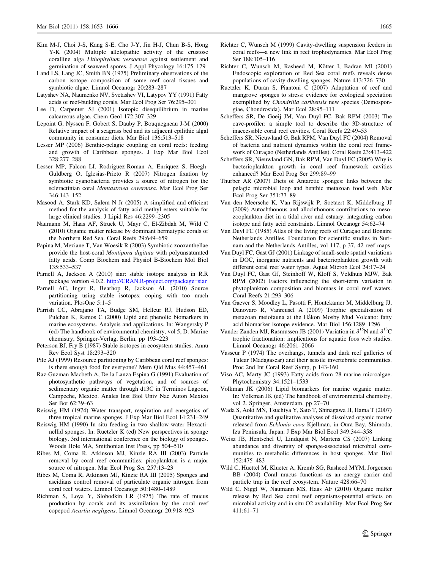- <span id="page-12-0"></span>Kim M-J, Choi J-S, Kang S-E, Cho J-Y, Jin H-J, Chun B-S, Hong Y-K (2004) Multiple allelopathic activity of the crustose coralline alga Lithophyllum yessoense against settlement and germination of seaweed spores. J Appl Phycology 16:175–179
- Land LS, Lang JC, Smith BN (1975) Preliminary observations of the carbon isotope composition of some reef coral tissues and symbiotic algae. Limnol Oceanogr 20:283–287
- Latyshev NA, Naumenko NV, Svetashev VI, Latypov YY (1991) Fatty acids of reef-building corals. Mar Ecol Prog Ser 76:295–301
- Lee D, Carpenter SJ (2001) Isotopic disequilibrium in marine calcareous algae. Chem Geol 172:307–329
- Lepoint G, Nyssen F, Gobert S, Dauby P, Bouquegneau J-M (2000) Relative impact of a seagrass bed and its adjacent epilithic algal community in consumer diets. Mar Biol 136:513–518
- Lesser MP (2006) Benthic-pelagic coupling on coral reefs: feeding and growth of Caribbean sponges. J Exp Mar Biol Ecol 328:277–288
- Lesser MP, Falcon LI, Rodriguez-Roman A, Enriquez S, Hoegh-Guldberg O, Iglesias-Prieto R (2007) Nitrogen fixation by symbiotic cyanobacteria provides a source of nitrogen for the scleractinian coral Montastraea cavernosa. Mar Ecol Prog Ser 346:143–152
- Masood A, Stark KD, Salem N Jr (2005) A simplified and efficient method for the analysis of fatty acid methyl esters suitable for large clinical studies. J Lipid Res 46:2299–2305
- Naumann M, Haas AF, Struck U, Mayr C, El-Zibdah M, Wild C (2010) Organic matter release by dominant hermatypic corals of the Northern Red Sea. Coral Reefs 29:649–659
- Papina M, Meziane T, Van Woesik R (2003) Symbiotic zooxanthellae provide the host-coral Montipora digitata with polyunsaturated fatty acids. Comp Biochem and Physiol B-Biochem Mol Biol 135:533–537
- Parnell A, Jackson A (2010) siar: stable isotope analysis in R.R package version 4.0.2. <http://CRAN.R-project.org/package=siar>
- Parnell AC, Inger R, Bearhop R, Jackson AL (2010) Source partitioning using stable isotopes: coping with too much variation. PlosOne 5:1–5
- Parrish CC, Abrajano TA, Budge SM, Helleur RJ, Hudson ED, Pulchan K, Ramos C (2000) Lipid and phenolic biomarkers in marine ecosystems. Analysis and applications. In: Wangersky P (ed) The handbook of environmental chemistry, vol 5, D. Marine chemistry, Springer-Verlag, Berlin, pp 193–223
- Peterson BJ, Fry B (1987) Stable isotopes in ecosystem studies. Annu Rev Ecol Syst 18:293–320
- Pile AJ (1999) Resource partitioning by Caribbean coral reef sponges: is there enough food for everyone? Mem Qld Mus 44:457–461
- Raz-Guzman Macbeth A, De la Lanza Espina G (1991) Evaluation of photosynthetic pathways of vegetation, and of sources of sedimentary organic matter through d13C in Terminos Lagoon, Campeche, Mexico. Anales Inst Biol Univ Nac Auton Mexico Ser Bot 62:39–63
- Reiswig HM (1974) Water transport, respiration and energetics of three tropical marine sponges. J Exp Mar Biol Ecol 14:231–249
- Reiswig HM (1990) In situ feeding in two shallow-water Hexactinellid sponges. In: Ruetzler K (ed) New perspectives in sponge biology. 3rd international conference on the biology of sponges. Woods Hole MA, Smithonian Inst Press, pp 504–510
- Ribes M, Coma R, Atkinson MJ, Kinzie RA III (2003) Particle removal by coral reef communities: picoplankton is a major source of nitrogen. Mar Ecol Prog Ser 257:13–23
- Ribes M, Coma R, Atkinson MJ, Kinzie RA III (2005) Sponges and ascidians control removal of particulate organic nitrogen from coral reef waters. Limnol Oceanogr 50:1480–1489
- Richman S, Loya Y, Slobodkin LR (1975) The rate of mucus production by corals and its assimilation by the coral reef copepod Acartia negligens. Limnol Oceanogr 20:918–923
- Richter C, Wunsch M (1999) Cavity-dwelling suspension feeders in coral reefs—a new link in reef trophodynamics. Mar Ecol Prog Ser 188:105–116
- Richter C, Wunsch M, Rasheed M, Kötter I, Badran MI (2001) Endoscopic exploration of Red Sea coral reefs reveals dense populations of cavity-dwelling sponges. Nature 413:726–730
- Ruetzler K, Duran S, Piantoni C (2007) Adaptation of reef and mangrove sponges to stress: evidence for ecological speciation exemplified by Chondrilla caribensis new species (Demospongiae, Chondrosida). Mar Ecol 28:95–111
- Scheffers SR, De Goeij JM, Van Duyl FC, Bak RPM (2003) The cave-profiler: a simple tool to describe the 3D-structure of inaccessible coral reef cavities. Coral Reefs 22:49–53
- Scheffers SR, Nieuwland G, Bak RPM, Van Duyl FC (2004) Removal of bacteria and nutrient dynamics within the coral reef framework of Curaçao (Netherlands Antilles). Coral Reefs 23:413-422
- Scheffers SR, Nieuwland GN, Bak RPM, Van Duyl FC (2005) Why is bacterioplankton growth in coral reef framework cavities enhanced? Mar Ecol Prog Ser 299:89–99
- Thurber AR (2007) Diets of Antarctic sponges: links between the pelagic microbial loop and benthic metazoan food web. Mar Ecol Prog Ser 351:77–89
- Van den Meersche K, Van Rijswijk P, Soetaert K, Middelburg JJ (2009) Autochthonous and allochthonous contributions to mesozooplankton diet in a tidal river and estuary: integrating carbon isotope and fatty acid constraints. Limnol Oceanogr 54:62–74
- Van Duyl FC (1985) Atlas of the living reefs of Curaçao and Bonaire Netherlands Antilles. Foundation for scientific studies in Surinam and the Netherlands Antilles, vol 117, p 37, 42 reef maps
- Van Duyl FC, Gast GJ (2001) Linkage of small-scale spatial variations in DOC, inorganic nutrients and bacterioplankton growth with different coral reef water types. Aquat Microb Ecol 24:17–24
- Van Duyl FC, Gast GJ, Steinhoff W, Kloff S, Veldhuis MJW, Bak RPM (2002) Factors influencing the short-term variation in phytoplankton composition and biomass in coral reef waters. Coral Reefs 21:293–306
- Van Gaever S, Moodley L, Pasotti F, Houtekamer M, Middelburg JJ, Danovaro R, Vanreusel A (2009) Trophic specialisation of metazoan meiofauna at the Håkon Mosby Mud Volcano: fatty acid biomarker isotope evidence. Mar Biol 156:1289–1296
- Vander Zanden MJ, Rasmussen JB (2001) Variation in  $\delta^{15}N$  and  $\delta^{13}C$ trophic fractionation: implications for aquatic foos web studies. Limnol Oceanogr 46:2061–2066
- Vasseur P (1974) The overhangs, tunnels and dark reef galleries of Tulear (Madagascar) and their sessile invertebrate communities. Proc 2nd Int Coral Reef Symp, p 143-160
- Viso AC, Marty JC (1993) Fatty acids from 28 marine microalgae. Phytochemistry 34:1521–1533
- Volkman JK (2006) Lipid biomarkers for marine organic matter. In: Volkman JK (ed) The handbook of environmental chemistry, vol 2. Springer, Amsterdam, pp 27–70
- Wada S, Aoki MN, Tsuchiya Y, Sato T, Shinagawa H, Hama T (2007) Quantitative and qualitative analyses of dissolved organic matter released from Ecklonia cava Kjellman, in Oura Bay, Shimoda, Izu Peninsula, Japan. J Exp Mar Biol Ecol 349:344–358
- Weisz JB, Hentschel U, Lindquist N, Martens CS (2007) Linking abundance and diversity of sponge-associated microbial communities to metabolic differences in host sponges. Mar Biol 152:475–483
- Wild C, Huettel M, Klueter A, Kremb SG, Rasheed MYM, Jorgensen BB (2004) Coral mucus functions as an energy carrier and particle trap in the reef ecosystem. Nature 428:66–70
- Wild C, Niggl W, Naumann MS, Haas AF (2010) Organic matter release by Red Sea coral reef organisms-potential effects on microbial activity and in situ O2 availability. Mar Ecol Prog Ser 411:61–71